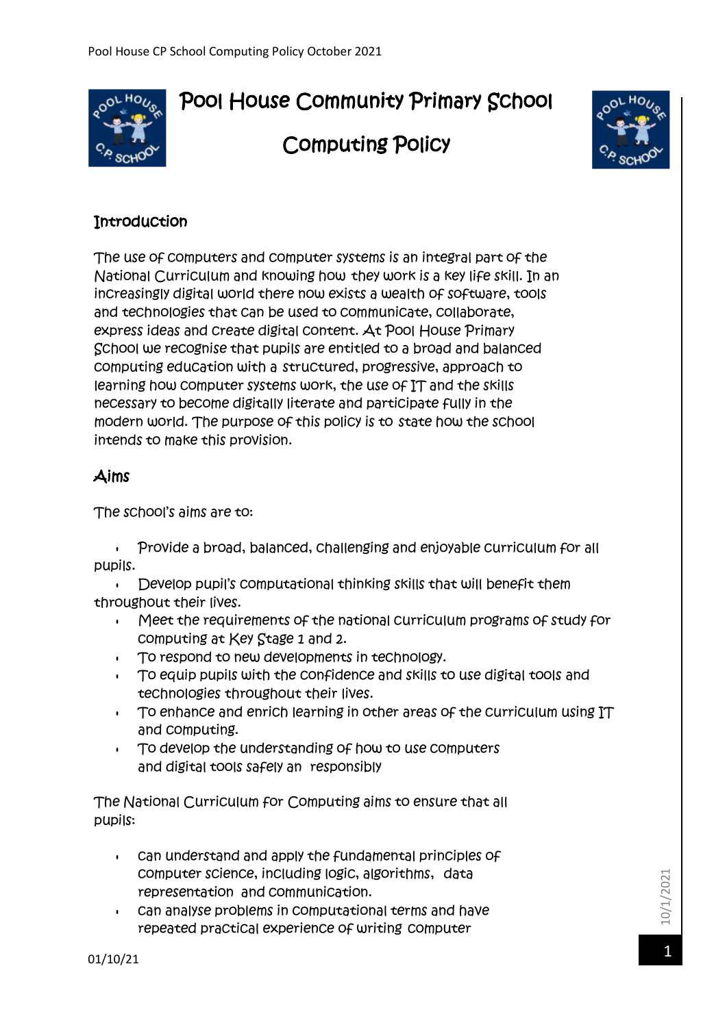# Pool House Community Primary School



# Computing Policy



## **Introduction**

The use of computers and computer systems is an integral part of the National Curriculum and knowing how they work is a key life skill. In an increasingly digital world there now exists a wealth of software, tools and technologies that can be used to communicate, collaborate, express ideas and create digital content. At Pool House Primary School we recognise that pupils are entitled to a broad and balanced computing education with a structured, progressive, approach to learning how computer systems work, the use of IT and the skills necessary to become digitally literate and participate fully in the modern world. The purpose of this policy is to state how the school intends to make this provision.

### Aims

The school's aims are to:

 Provide a broad, balanced, challenging and enjoyable curriculum for all pupils.

Develop pupil's computational thinking skills that will benefit them throughout their lives.

- Meet the requirements of the national curriculum programs of study for computing at Key Stage 1 and 2.
- To respond to new developments in technology.
- To equip pupils with the confidence and skills to use digital tools and technologies throughout their lives.
- To enhance and enrich learning in other areas of the curriculum using IT and computing.
- To develop the understanding of how to use computers and digital tools safely an responsibly

The National Curriculum for Computing aims to ensure that all pupils:

- can understand and apply the fundamental principles of computer science, including logic, algorithms, data representation and communication.
- can analyse problems in computational terms and have repeated practical experience of writing computer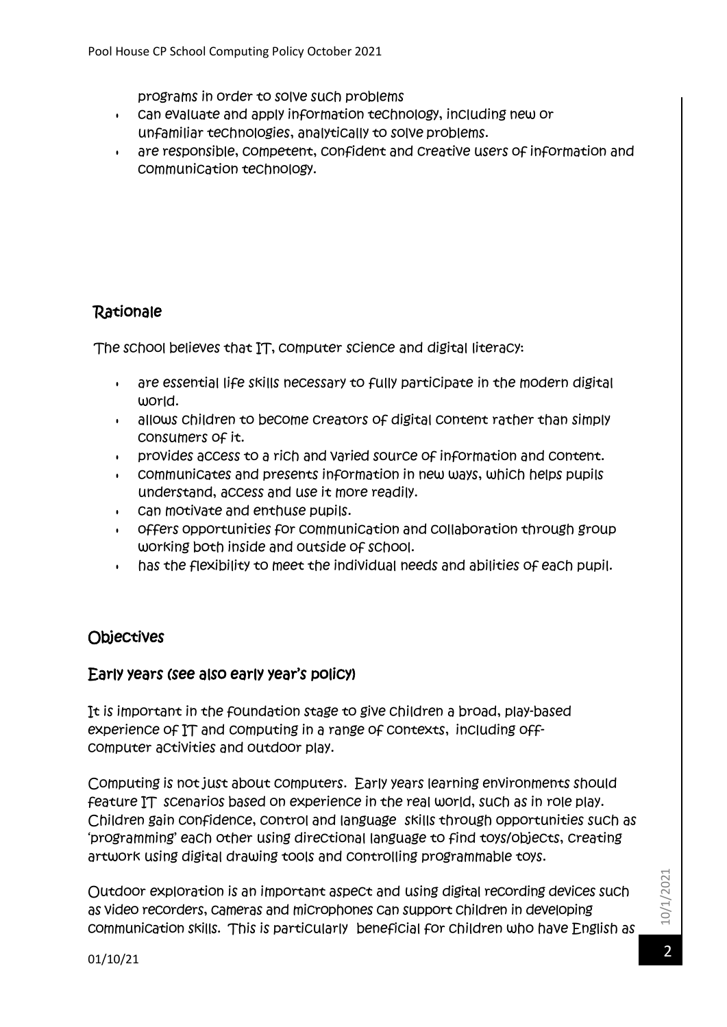programs in order to solve such problems

- can evaluate and apply information technology, including new or unfamiliar technologies, analytically to solve problems.
- are responsible, competent, confident and creative users of information and communication technology.

## **Rationale**

The school believes that IT, computer science and digital literacy:

- are essential life skills necessary to fully participate in the modern digital world.
- allows children to become creators of digital content rather than simply consumers of it.
- provides access to a rich and varied source of information and content.
- communicates and presents information in new ways, which helps pupils understand, access and use it more readily.
- can motivate and enthuse pupils.
- offers opportunities for communication and collaboration through group working both inside and outside of school.
- has the flexibility to meet the individual needs and abilities of each pupil.

# **Objectives**

#### Early years (see also early year's policy)

It is important in the foundation stage to give children a broad, play-based experience of IT and computing in a range of contexts, including offcomputer activities and outdoor play.

Computing is not just about computers. Early years learning environments should feature IT scenarios based on experience in the real world, such as in role play. Children gain confidence, control and language skills through opportunities such as 'programming' each other using directional language to find toys/objects, creating artwork using digital drawing tools and controlling programmable toys.

Outdoor exploration is an important aspect and using digital recording devices such as video recorders, cameras and microphones can support children in developing communication skills. This is particularly beneficial for children who have English as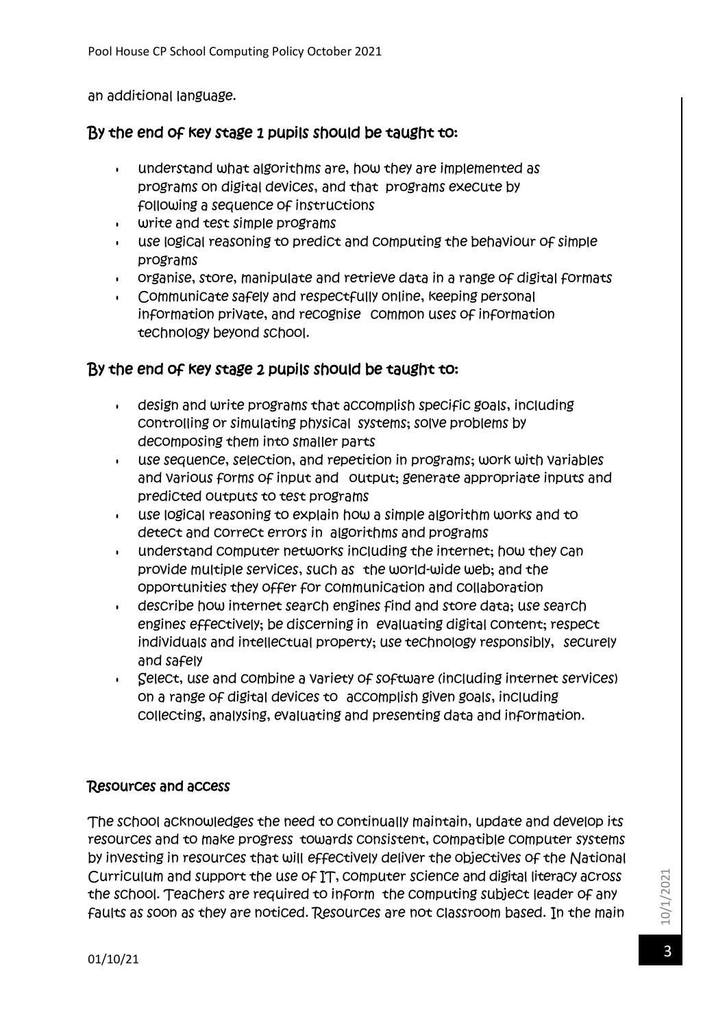an additional language.

#### By the end of key stage 1 pupils should be taught to:

- understand what algorithms are, how they are implemented as programs on digital devices, and that programs execute by following a sequence of instructions
- write and test simple programs
- use logical reasoning to predict and computing the behaviour of simple programs
- organise, store, manipulate and retrieve data in a range of digital formats
- Communicate safely and respectfully online, keeping personal information private, and recognise common uses of information technology beyond school.

#### By the end of key stage 2 pupils should be taught to:

- design and write programs that accomplish specific goals, including controlling or simulating physical systems; solve problems by decomposing them into smaller parts
- use sequence, selection, and repetition in programs; work with variables and various forms of input and output; generate appropriate inputs and predicted outputs to test programs
- use logical reasoning to explain how a simple algorithm works and to detect and correct errors in algorithms and programs
- understand computer networks including the internet; how they can provide multiple services, such as the world-wide web; and the opportunities they offer for communication and collaboration
- describe how internet search engines find and store data; use search engines effectively; be discerning in evaluating digital content; respect individuals and intellectual property; use technology responsibly, securely and safely
- Select, use and combine a variety of software (including internet services) on a range of digital devices to accomplish given goals, including collecting, analysing, evaluating and presenting data and information.

#### Resources and access

The school acknowledges the need to continually maintain, update and develop its resources and to make progress towards consistent, compatible computer systems by investing in resources that will effectively deliver the objectives of the National Curriculum and support the use of IT, computer science and digital literacy across the school. Teachers are required to inform the computing subject leader of any faults as soon as they are noticed. Resources are not classroom based. In the main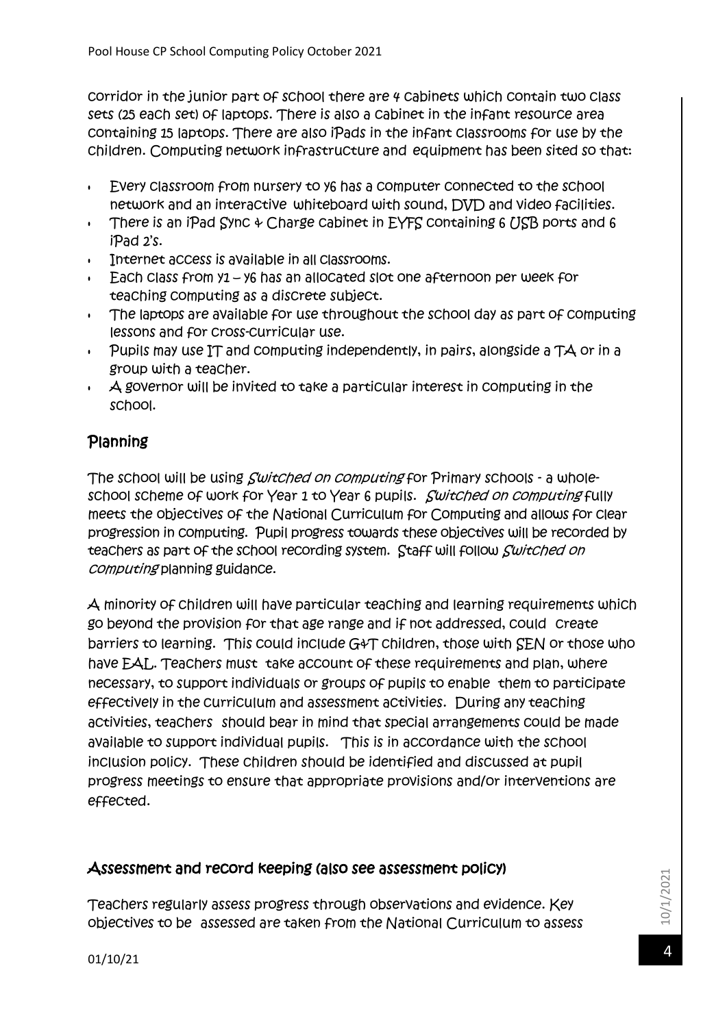corridor in the junior part of school there are 4 cabinets which contain two class sets (25 each set) of laptops. There is also a cabinet in the infant resource area containing 15 laptops. There are also iPads in the infant classrooms for use by the children. Computing network infrastructure and equipment has been sited so that:

- Every classroom from nursery to y6 has a computer connected to the school network and an interactive whiteboard with sound, DVD and video facilities.
- There is an iPad Sync  $\phi$  Charge cabinet in EYFS containing 6 USB ports and 6 iPad 2's.
- Internet access is available in all classrooms.
- Each class from y1 y6 has an allocated slot one afternoon per week for teaching computing as a discrete subject.
- The laptops are available for use throughout the school day as part of computing lessons and for cross-curricular use.
- $\cdot$  Pupils may use IT and computing independently, in pairs, alongside a TA or in a group with a teacher.
- $\cdot$  A governor will be invited to take a particular interest in computing in the school.

# Planning

The school will be using *Switched on computing* for Primary schools - a wholeschool scheme of work for Year 1 to Year 6 pupils. Switched on computing fully meets the objectives of the National Curriculum for Computing and allows for clear progression in computing. Pupil progress towards these objectives will be recorded by teachers as part of the school recording system. Staff will follow *Switched on* computing planning guidance.

A minority of children will have particular teaching and learning requirements which go beyond the provision for that age range and if not addressed, could create barriers to learning. This could include G&T children, those with SEN or those who have EAL. Teachers must take account of these requirements and plan, where necessary, to support individuals or groups of pupils to enable them to participate effectively in the curriculum and assessment activities. During any teaching activities, teachers should bear in mind that special arrangements could be made available to support individual pupils. This is in accordance with the school inclusion policy. These children should be identified and discussed at pupil progress meetings to ensure that appropriate provisions and/or interventions are effected.

### Assessment and record keeping (also see assessment policy)

Teachers regularly assess progress through observations and evidence. Key objectives to be assessed are taken from the National Curriculum to assess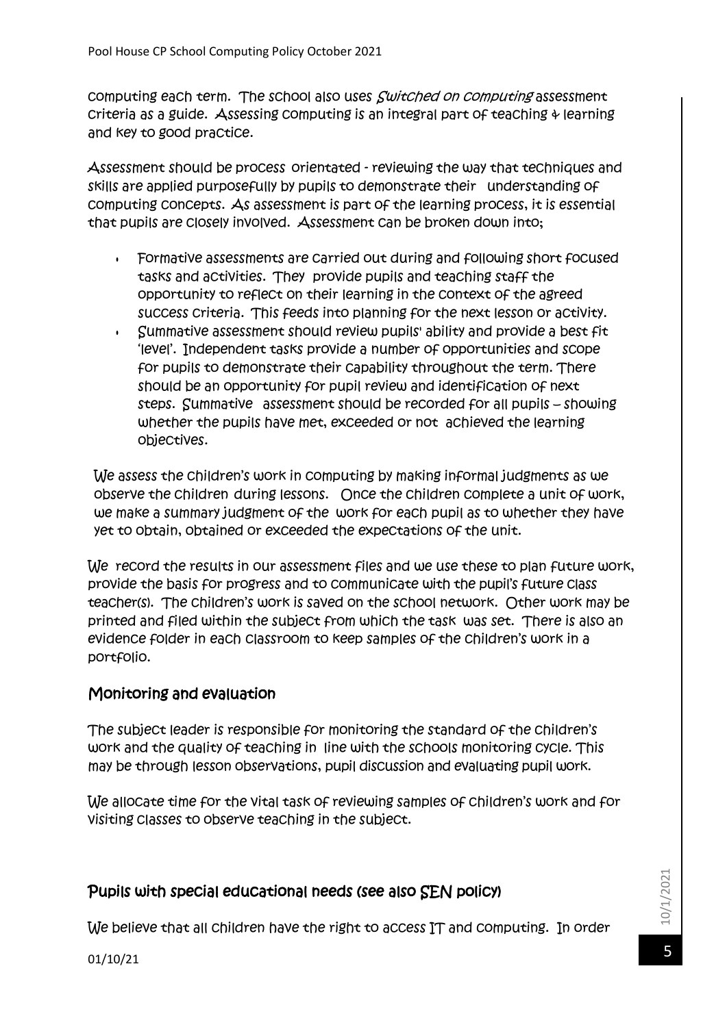computing each term. The school also uses *Switched on computing* assessment criteria as a guide. Assessing computing is an integral part of teaching  $\psi$  learning and key to good practice.

Assessment should be process orientated - reviewing the way that techniques and skills are applied purposefully by pupils to demonstrate their understanding of computing concepts. As assessment is part of the learning process, it is essential that pupils are closely involved. Assessment can be broken down into;

- Formative assessments are carried out during and following short focused tasks and activities. They provide pupils and teaching staff the opportunity to reflect on their learning in the context of the agreed success criteria. This feeds into planning for the next lesson or activity.
- Summative assessment should review pupils' ability and provide a best fit 'level'. Independent tasks provide a number of opportunities and scope for pupils to demonstrate their capability throughout the term. There should be an opportunity for pupil review and identification of next steps. Summative assessment should be recorded for all pupils – showing whether the pupils have met, exceeded or not achieved the learning objectives.

We assess the children's work in computing by making informal judgments as we observe the children during lessons. Once the children complete a unit of work, we make a summary judgment of the work for each pupil as to whether they have yet to obtain, obtained or exceeded the expectations of the unit.

We record the results in our assessment files and we use these to plan future work, provide the basis for progress and to communicate with the pupil's future class teacher(s). The children's work is saved on the school network. Other work may be printed and filed within the subject from which the task was set. There is also an evidence folder in each classroom to keep samples of the children's work in a portfolio.

# Monitoring and evaluation

The subject leader is responsible for monitoring the standard of the children's work and the quality of teaching in line with the schools monitoring cycle. This may be through lesson observations, pupil discussion and evaluating pupil work.

We allocate time for the vital task of reviewing samples of children's work and for visiting classes to observe teaching in the subject.

### Pupils with special educational needs (see also SEN policy)

We believe that all children have the right to access IT and computing. In order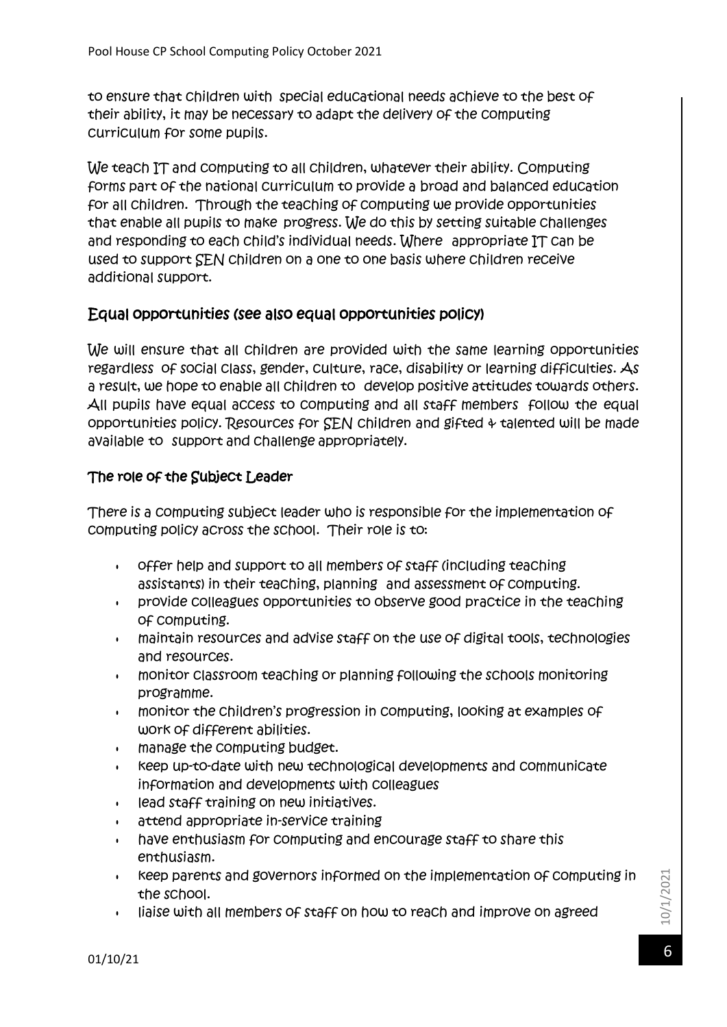to ensure that children with special educational needs achieve to the best of their ability, it may be necessary to adapt the delivery of the computing curriculum for some pupils.

We teach IT and computing to all children, whatever their ability. Computing forms part of the national curriculum to provide a broad and balanced education for all children. Through the teaching of computing we provide opportunities that enable all pupils to make progress. We do this by setting suitable challenges and responding to each child's individual needs. Where appropriate IT can be used to support SEN children on a one to one basis where children receive additional support.

#### Equal opportunities (see also equal opportunities policy)

We will ensure that all children are provided with the same learning opportunities regardless of social class, gender, culture, race, disability or learning difficulties. As a result, we hope to enable all children to develop positive attitudes towards others. All pupils have equal access to computing and all staff members follow the equal opportunities policy. Resources for  $SEN$  children and gifted  $\phi$  talented will be made available to support and challenge appropriately.

#### The role of the Subject Leader

There is a computing subject leader who is responsible for the implementation of computing policy across the school. Their role is to:

- offer help and support to all members of staff (including teaching assistants) in their teaching, planning and assessment of computing.
- provide colleagues opportunities to observe good practice in the teaching of computing.
- maintain resources and advise staff on the use of digital tools, technologies and resources.
- monitor classroom teaching or planning following the schools monitoring programme.
- monitor the children's progression in computing, looking at examples of work of different abilities.
- manage the computing budget.
- keep up-to-date with new technological developments and communicate information and developments with colleagues
- lead staff training on new initiatives.
- attend appropriate in-service training
- have enthusiasm for computing and encourage staff to share this enthusiasm.
- keep parents and governors informed on the implementation of computing in the school.
- liaise with all members of staff on how to reach and improve on agreed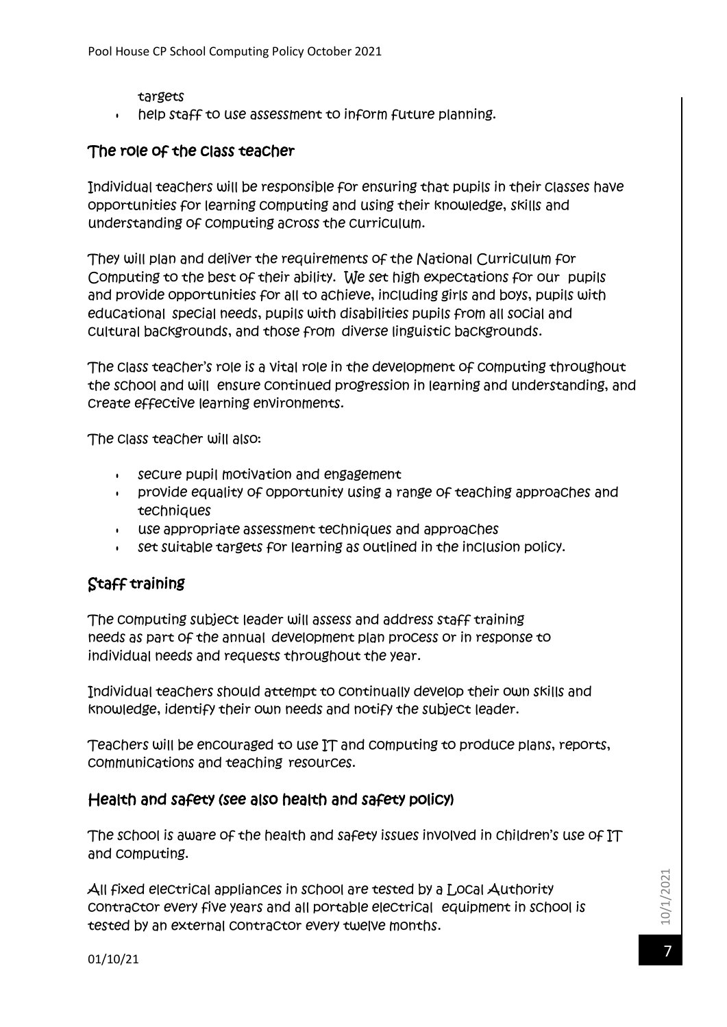- targets
- help staff to use assessment to inform future planning.

#### The role of the class teacher

Individual teachers will be responsible for ensuring that pupils in their classes have opportunities for learning computing and using their knowledge, skills and understanding of computing across the curriculum.

They will plan and deliver the requirements of the National Curriculum for Computing to the best of their ability. We set high expectations for our pupils and provide opportunities for all to achieve, including girls and boys, pupils with educational special needs, pupils with disabilities pupils from all social and cultural backgrounds, and those from diverse linguistic backgrounds.

The class teacher's role is a vital role in the development of computing throughout the school and will ensure continued progression in learning and understanding, and create effective learning environments.

The class teacher will also:

- secure pupil motivation and engagement
- provide equality of opportunity using a range of teaching approaches and techniques
- use appropriate assessment techniques and approaches
- set suitable targets for learning as outlined in the inclusion policy.

# Staff training

The computing subject leader will assess and address staff training needs as part of the annual development plan process or in response to individual needs and requests throughout the year.

Individual teachers should attempt to continually develop their own skills and knowledge, identify their own needs and notify the subject leader.

Teachers will be encouraged to use IT and computing to produce plans, reports, communications and teaching resources.

#### Health and safety (see also health and safety policy)

The school is aware of the health and safety issues involved in children's use of IT and computing.

All fixed electrical appliances in school are tested by a Local Authority contractor every five years and all portable electrical equipment in school is tested by an external contractor every twelve months.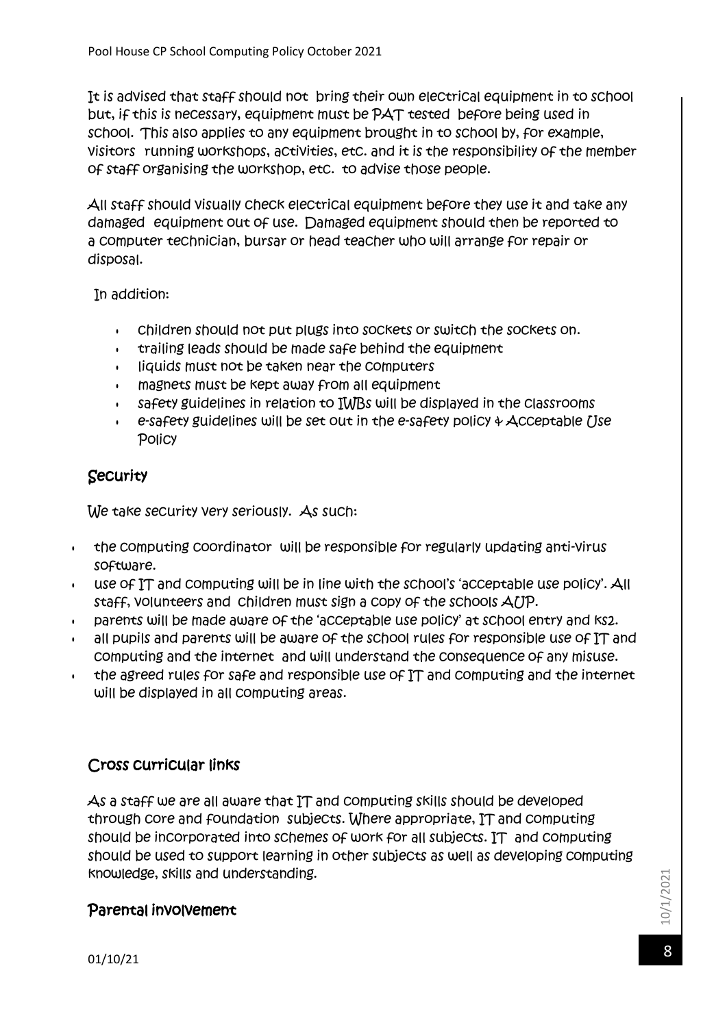It is advised that staff should not bring their own electrical equipment in to school but, if this is necessary, equipment must be PAT tested before being used in school. This also applies to any equipment brought in to school by, for example, visitors running workshops, activities, etc. and it is the responsibility of the member of staff organising the workshop, etc. to advise those people.

All staff should visually check electrical equipment before they use it and take any damaged equipment out of use. Damaged equipment should then be reported to a computer technician, bursar or head teacher who will arrange for repair or disposal.

In addition:

- children should not put plugs into sockets or switch the sockets on.
- trailing leads should be made safe behind the equipment
- liquids must not be taken near the computers
- magnets must be kept away from all equipment
- safety guidelines in relation to IWBs will be displayed in the classrooms
- $\cdot$  e-safety guidelines will be set out in the e-safety policy  $\psi$  Acceptable *()se* Policy

# **Security**

We take security very seriously. As such:

- the computing coordinator will be responsible for regularly updating anti-virus software.
- use of IT and computing will be in line with the school's 'acceptable use policy'. All staff, volunteers and children must sign a copy of the schools AUP.
- parents will be made aware of the 'acceptable use policy' at school entry and ks2.
- all pupils and parents will be aware of the school rules for responsible use of IT and computing and the internet and will understand the consequence of any misuse.
- $\cdot$  the agreed rules for safe and responsible use of IT and computing and the internet will be displayed in all computing areas.

# Cross curricular links

As a staff we are all aware that IT and computing skills should be developed through core and foundation subjects. Where appropriate, IT and computing should be incorporated into schemes of work for all subjects. IT and computing should be used to support learning in other subjects as well as developing computing knowledge, skills and understanding.

# Parental involvement